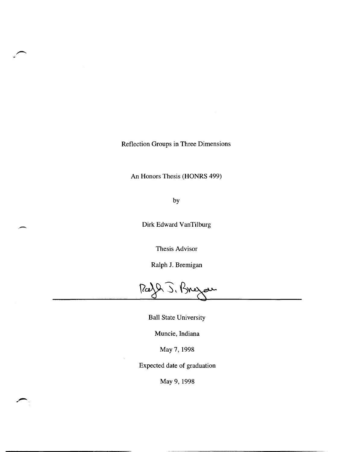Reflection Groups in Three Dimensions

An Honors Thesis (HONRS 499)

by

Dirk Edward VanTilburg

Thesis Advisor

Ralph J. Bremigan

 $\sqrt{2}$  ). Bregar

Ball State University

Muncie, Indiana

May 7, 1998

Expected date of graduation

May 9,1998

----------------------

,~,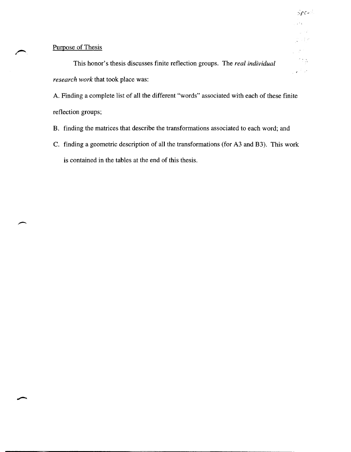# Purpose of Thesis

This honor's thesis discusses finite reflection groups. The *real individual research work* that took place was:

A. Finding a complete list of all the different "words" associated with each of these finite reflection groups;

. ,

 $^{\circ}$  :  $\tilde{\alpha}$ 

 $\sqrt{2}$   $\sqrt{2}$ 

 $Spec$ 

 $\bar{\tau}^{\pm}$  c

- B. finding the matrices that describe the transformations associated to each word; and
- C. finding a geometric description of all the transformations (for A3 and B3). This work is contained in the tables at the end of this thesis.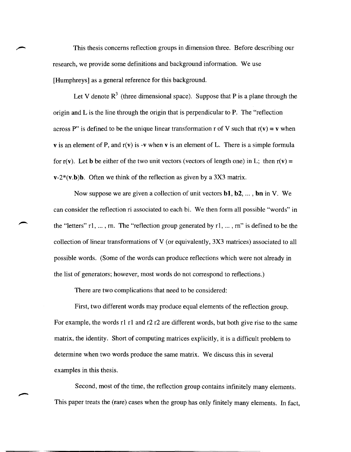This thesis concerns reflection groups in dimension three. Before describing our research, we provide some definitions and background information. We use [Humphreys] as a general reference for this background.

Let V denote  $R<sup>3</sup>$  (three dimensional space). Suppose that P is a plane through the origin and L is the line through the origin that is perpendicular to P. The "reflection across P" is defined to be the unique linear transformation r of V such that  $r(v) = v$  when **v** is an element of P, and  $r(v)$  is -v when v is an element of L. There is a simple formula for  $r(v)$ . Let **b** be either of the two unit vectors (vectors of length one) in L; then  $r(v) =$  $v-2*(v.b)b$ . Often we think of the reflection as given by a 3X3 matrix.

Now suppose we are given a collection of unit vectors bl, b2, ... , **bn** in V. We can consider the reflection ri associated to each bi. We then form all possible "words" in the "letters" r1, ... ,rn. The "reflection group generated by r1, ... , rn" is defined to be the collection of linear transformations of V (or equivalently, 3X3 matrices) associated to all possible words. (Some of the words can produce reflections which were not already in the list of generators; however, most words do not correspond to reflections.)

There are two complications that need to be considered:

First, two different words may produce equal elements of the reflection group. For example, the words r1 r1 and r2 r2 are different words, but both give rise to the same matrix, the identity. Short of computing matrices explicitly, it is a difficult problem to determine when two words produce the same matrix. We discuss this in several examples in this thesis.

Second, most of the time, the reflection group contains infinitely many elements. This paper treats the (rare) cases when the group has only finitely many elements. In fact,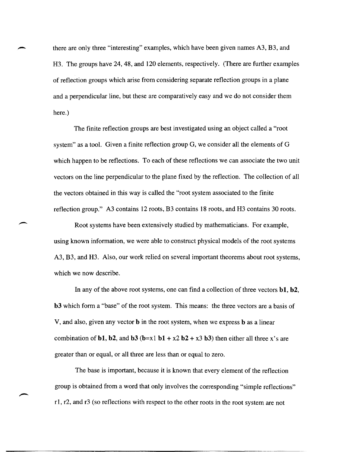there are only three "interesting" examples, which have been given names A3, B3, and H3. The groups have 24, 48, and 120 elements, respectively. (There are further examples of reflection groups which arise from considering separate reflection groups in a plane and a perpendicular line, but these are comparatively easy and we do not consider them here.)

The finite reflection groups are best investigated using an object called a "root system" as a tool. Given a finite reflection group G, we consider all the elements of G which happen to be reflections. To each of these reflections we can associate the two unit vectors on the line perpendicular to the plane fixed by the reflection. The collection of all the vectors obtained in this way is called the "root system associated to the finite reflection group." A3 contains 12 roots, B3 contains 18 roots, and H3 contains 30 roots.

Root systems have been extensively studied by mathematicians. For example, using known information, we were able to construct physical models of the root systems A3, B3, and H3. Also, our work relied on several important theorems about root systems, which we now describe.

In any of the above root systems, one can find a collection of three vectors bI, b2, **b3** which form a "base" of the root system. This means: the three vectors are a basis of V, and also, given any vector b in the root system, when we express b as a linear combination of **b1**, **b2**, and **b3**  $(b=x1 \text{ b1} + x2 \text{ b2} + x3 \text{ b3})$  then either all three x's are greater than or equal, or all three are less than or equal to zero.

The base is important, because it is known that every element of the reflection group is obtained from a word that only involves the corresponding "simple reflections" r1, r2, and r3 (so reflections with respect to the other roots in the root system are not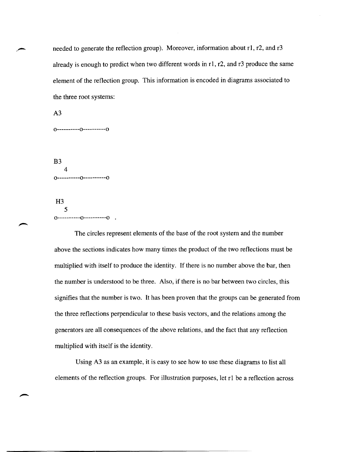needed to generate the reflection group). Moreover, information about r1, r2, and r3 already is enough to predict when two different words in r1, r2, and r3 produce the same element of the reflection group. This information is encoded in diagrams associated to the three root systems:

0----------0----------0 B3 4 0----------0----------0

A3

H3 5 0----------0-----------0

The circles represent elements of the base of the root system and the number above the sections indicates how many times the product of the two reflections must be multiplied with itself to produce the identity. If there is no number above the bar, then the number is understood to be three. Also, if there is no bar between two circles, this signifies that the number is two. It has been proven that the groups can be generated from the three reflections perpendicular to these basis vectors, and the relations among the generators are all consequences of the above relations, and the fact that any reflection multiplied with itself is the identity.

Using A3 as an example, it is easy to see how to use these diagrams to list all elements of the reflection groups. For illustration purposes, let r1 be a reflection across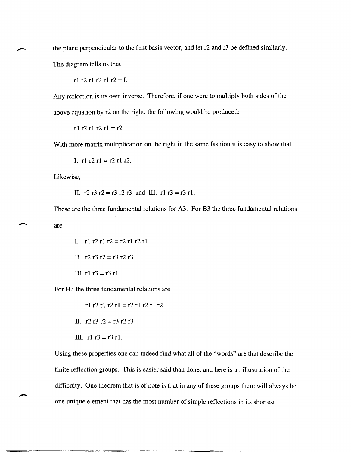the plane perpendicular to the first basis vector, and let r2 and r3 be defined similarly.

The diagram tells us that

r1 r2 r1 r2 r1 r2 = I.

Any reflection is its own inverse. Therefore, if one were to multiply both sides of the above equation by r2 on the right, the following would be produced:

r1 r2 r1 r2 r1 = r2.

With more matrix multiplication on the right in the same fashion it is easy to show that

I.  $r1 r2 r1 = r2 r1 r2$ .

Likewise,

II. r2 r3 r2 = r3 r2 r3 and III. r1 r3 = r3 r1.

These are the three fundamental relations for A3. For B3 the three fundamental relations are

I.  $r1 r2 r1 r2 = r2 r1 r2 r1$ II.  $r2 r3 r2 = r3 r2 r3$ III.  $r1 r3 = r3 r1$ .

For H3 the three fundamental relations are

- I.  $r1 r2 r1 r2 r1 = r2 r1 r2 r1 r2$
- II.  $r2 r3 r2 = r3 r2 r3$
- III.  $r1 r3 = r3 r1$ .

Using these properties one can indeed find what all of the "words" are that describe the finite reflection groups. This is easier said than done, and here is an illustration of the difficulty. One theorem that is of note is that in any of these groups there will always be one unique element that has the most number of simple reflections in its shortest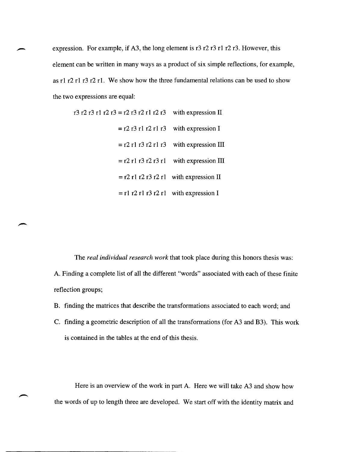expression. For example, if A3, the long element is r3 r2 r3 r1 r2 r3. However, this element can be written in many ways as a product of six simple reflections, for example, as r1 r2 r1 r3 r2 r1. We show how the three fundamental relations can be used to show the two expressions are equal:

|                                           | r3 r2 r3 r1 r2 r3 = r2 r3 r2 r1 r2 r3 with expression II |
|-------------------------------------------|----------------------------------------------------------|
| $=$ r2 r3 r1 r2 r1 r3 with expression I   |                                                          |
| $=$ r2 r1 r3 r2 r1 r3 with expression III |                                                          |
| $=$ r2 r1 r3 r2 r3 r1 with expression III |                                                          |
| $=$ r2 r1 r2 r3 r2 r1 with expression II  |                                                          |
|                                           | $=$ r1 r2 r1 r3 r2 r1 with expression I                  |

The *real individual research work* that took place during this honors thesis was: A. Finding a complete list of all the different "words" associated with each of these finite reflection groups;

- B. finding the matrices that describe the transformations associated to each word; and
- C. finding a geometric description of all the transformations (for A3 and B3). This work is contained in the tables at the end of this thesis.

Here is an overview of the work in part A. Here we will take A3 and show how the words of up to length three are developed. We start off with the identity matrix and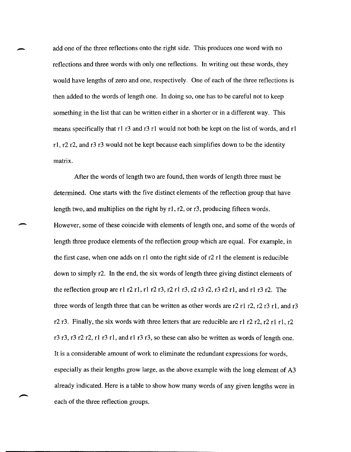add one of the three reflections onto the right side. This produces one word with no reflections and three words with only one reflections. In writing out these words, they would have lengths of zero and one, respectively. One of each of the three reflections is then added to the words of length one. In doing so, one has to be careful not to keep something in the list that can be written either in a shorter or in a different way. This means specifically that rl r3 and r3 rl would not both be kept on the list of words, and rl rl, r2 r2, and r3 r3 would not be kept because each simplifies down to be the identity matrix.

After the words of length two are found, then words of length three must be determined. One starts with the five distinct elements of the reflection group that have length two, and multiplies on the right by r1, r2, or r3, producing fifteen words. However, some of these coincide with elements of length one, and some of the words of length three produce elements of the reflection group which are equal. For example, in the first case, when one adds on rl onto the right side of r2 rl the element is reducible down to simply r2. In the end, the six words of length three giving distinct elements of the reflection group are r1 r2 r1, r1 r2 r3, r2 r1 r3, r2 r3 r2, r3 r2 r1, and r1 r3 r2. The three words of length three that can be written as other words are  $r2$  r1 r2, r2 r3 r1, and r3 r2 r3. Finally, the six words with three letters that are reducible are r1 r2 r2, r2 r1 r1, r2 r3 r3, r3 r2 r2, rl r3 rl, and rl r3 r3, so these can also be written as words of length one. It is a considerable amount of work to eliminate the redundant expressions for words, especially as their lengths grow large, as the above example with the long element of A3 already indicated. Here is a table to show how many words of any given lengths were in each of the three reflection groups.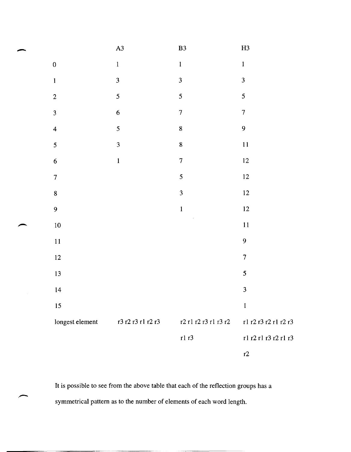|                         | A3                      | ${\bf B3}$              | H3                      |
|-------------------------|-------------------------|-------------------------|-------------------------|
| $\boldsymbol{0}$        | $\mathbf{1}$            | $\mathbf{1}$            | $\mathbf 1$             |
| $\mathbf{1}$            | $\overline{\mathbf{3}}$ | $\overline{\mathbf{3}}$ | $\overline{\mathbf{3}}$ |
| $\overline{c}$          | 5                       | 5                       | 5                       |
| $\overline{3}$          | $\overline{6}$          | $\overline{7}$          | $\overline{7}$          |
| $\overline{\mathbf{4}}$ | 5                       | 8                       | 9                       |
| $\overline{\mathbf{5}}$ | $\overline{\mathbf{3}}$ | 8                       | 11                      |
| $\overline{6}$          | $\mathbf{1}$            | $\overline{7}$          | $12\,$                  |
| $\boldsymbol{7}$        |                         | 5                       | $12$                    |
| 8                       |                         | $\overline{\mathbf{3}}$ | $12\,$                  |
| $\overline{9}$          |                         | $\mathbf{1}$            | $12\,$                  |
| 10                      |                         |                         | 11                      |
| 11                      |                         |                         | 9                       |
| 12                      |                         |                         | $\overline{7}$          |
| 13                      |                         |                         | 5                       |
| 14                      |                         |                         | $\overline{\mathbf{3}}$ |
| 15                      |                         |                         | $\mathbf{I}$            |
| longest element         | r3 r2 r3 r1 r2 r3       | r2 r1 r2 r3 r1 r3 r2    | r1 r2 r3 r2 r1 r2 r3    |
|                         |                         | r1 r3                   | r1 r2 r1 r3 r2 r1 r3    |
|                         |                         |                         | r2                      |

It is possible to see from the above table that each of the reflection groups has a symmetrical pattern as to the number of elements of each word length.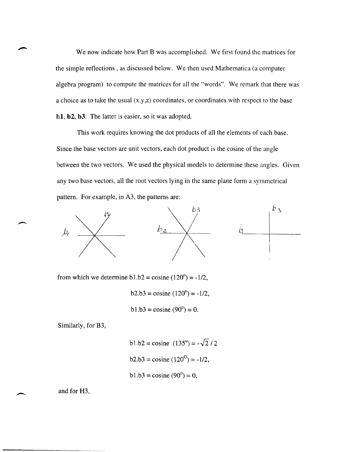We now indicate how Part B was accomplished. We first found the matrices for the simple reflections, as discussed below. We then used Mathematica (a computer algebra program) to compute the matrices for all the "words". We remark that there was a choice as to take the usual  $(x,y,z)$  coordinates, or coordinates with respect to the base bI, b2, b3. The latter is easier, so it was adopted.

This work requires knowing the dot products of all the elements of each base. Since the base vectors are unit vectors, each dot product is the cosine of the angle between the two vectors. We used the physical models to determine these angles. Given any two base vectors, all the root vectors lying in the same plane form a symmetrical pattern. For example, in A3, the patterns are:



from which we determine  $b1.b2 = \text{cosine} (120^\circ) = -1/2$ ,

 $b2.b3 = \cosh(120^\circ) = -1/2$ ,

 $b1.b3 = \cosh(90^\circ) = 0.$ 

Similarly, for B3,

b1.b2 = cosine  $(135^{\circ}) = -\sqrt{2}/2$  $b2.b3 = \cosh(120^\circ) = -1/2$ ,  $b1.b3 = \cosh(90^\circ) = 0$ ,

and for H3,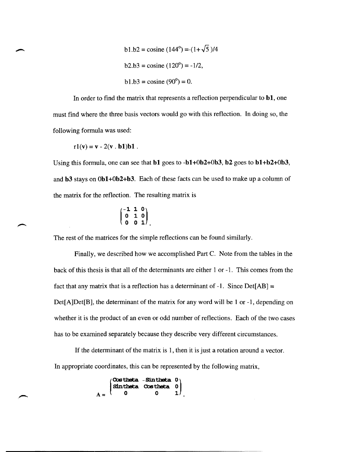b1.b2 = cosine (144°) =-(1+
$$
\sqrt{5}
$$
)/4  
b2.b3 = cosine (120°) = -1/2,  
b1.b3 = cosine (90°) = 0.

In order to find the matrix that represents a reflection perpendicular to  $b1$ , one must find where the three basis vectors would go with this reflection. In doing so, the following formula was used:

$$
r1(v) = v - 2(v \cdot b1)b1.
$$

Using this formula, one can see that bl goes to -bl+Ob2+0b3, b2 goes to bl+b2+0b3, and b3 stays on 0b1+0b2+b3. Each of these facts can be used to make up a column of the matrix for the reflection. The resulting matrix is

$$
\begin{pmatrix} -1 & 1 & 0 \\ 0 & 1 & 0 \\ 0 & 0 & 1 \end{pmatrix}
$$

The rest of the matrices for the simple reflections can be found similarly.

Finally, we described how we accomplished Part C. Note from the tables in the back of this thesis is that all of the determinants are either 1 or -1. This comes from the fact that any matrix that is a reflection has a determinant of  $-1$ . Since Det[AB] = Det[A]Det[B], the determinant of the matrix for any word will be 1 or -1, depending on whether it is the product of an even or odd number of reflections. Each of the two cases has to be examined separately because they describe very different circumstances.

If the determinant of the matrix is 1, then it is just a rotation around a vector. In appropriate coordinates, this can be represented by the following matrix,

|       |     | $\begin{pmatrix} \texttt{Cos theta} & -\texttt{Sinttheta} & 0 \\ \texttt{Sinttheta} & \texttt{Cos theta} & 0 \end{pmatrix}$ |    |
|-------|-----|-----------------------------------------------------------------------------------------------------------------------------|----|
| $A =$ | - 0 |                                                                                                                             | 1) |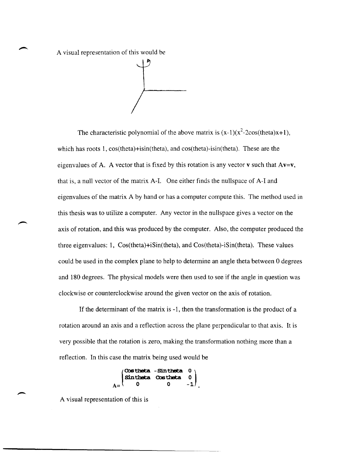A visual representation of this would be

The characteristic polynomial of the above matrix is  $(x-1)(x^2-2\cos(\theta))$ , The characteristic polynomial of the above matrix is  $(x-1)(x^2-2\cos(\theta))$ which has roots 1, cos(theta)+isin(theta), and cos(theta)-isin(theta). These are the eigenvalues of A. A vector that is fixed by this rotation is any vector **v** such that  $Av=v$ , that is, a null vector of the matrix A-I. One either finds the nullspace of A-I and eigenvalues of the matrix A by hand or has a computer compute this. The method used in this thesis was to utilize a computer. Any vector in the nullspace gives a vector on the axis of rotation, and this was produced by the computer. Also, the computer produced the three eigenvalues: 1, Cos(theta)+iSin(theta), and Cos(theta)-iSin(theta). These values could be used in the complex plane to help to determine an angle theta between 0 degrees and 180 degrees. The physical models were then used to see if the angle in question was clockwise or counterclockwise around the given vector on the axis of rotation.

If the determinant of the matrix is -1, then the transformation is the product of a rotation around an axis and a reflection across the plane perpendicular to that axis. It is very possible that the rotation is zero, making the transformation nothing more than a reflection. In this case the matrix being used would be

, Qostheta - Sin theta 0<br>Sin theta Qostheta 0 Sintheta Costheta

A visual representation of this is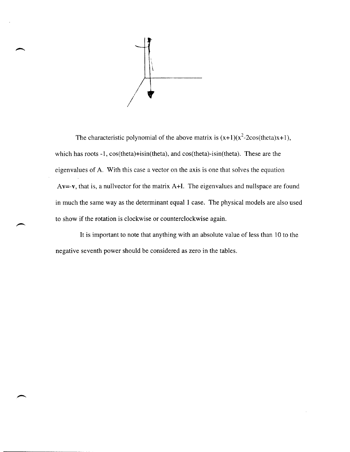

The characteristic polynomial of the above matrix is  $(x+1)(x^2-2\cos(\theta) + 1)$ , which has roots -1,  $cos(theta)+isin(theta)$ , and  $cos(theta)-isin(theta)$ . These are the eigenvalues of A. With this case a vector on the axis is one that solves the equation Av=-v, that is, a nullvector for the matrix A+I. The eigenvalues and nullspace are found in much the same way as the determinant equal 1 case. The physical models are also used to show if the rotation is clockwise or counterclockwise again.

It is important to note that anything with an absolute value of less than 10 to the negative seventh power should be considered as zero in the tables.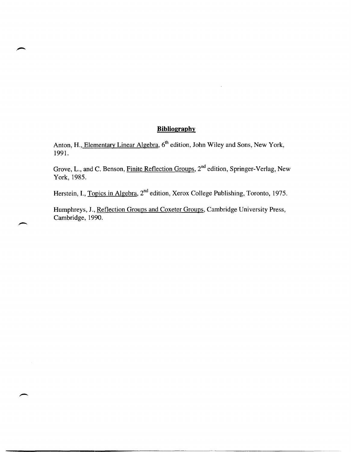# **Bibliography**

Anton, H., Elementary Linear Algebra, 6<sup>th</sup> edition, John Wiley and Sons, New York, 1991.

Grove, L., and C. Benson, Finite Reflection Groups, 2nd edition, Springer-Verlag, New York,1985.

Herstein, I., Topics in Algebra, 2<sup>nd</sup> edition, Xerox College Publishing, Toronto, 1975.

Humphreys, J., Reflection Groups and Coxeter Groups, Cambridge University Press, Cambridge, 1990.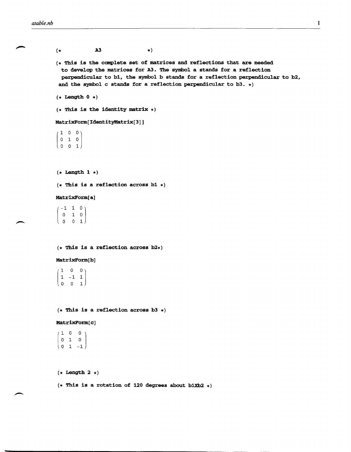$\overline{\phantom{0}}$ 

```
A3 
(*\star)
(* This is the complete set of matrices and reflections that are needed
  to develop the matrices for A3. The symbol a stands for a reflection 
  perpendicular to b1, the symbol b stands for a reflection perpendicular to b2, 
 and the symbol c stands for a reflection perpendicular to b3. \star)
(* Length 0 *)
(* This is the identity matrix *)MatrixForm[IdentityMatrix[3]] 
 1000 \quad 1 \quad 0\begin{pmatrix} 0 & 0 & 1 \end{pmatrix}(* Length 1 *)(* This is a reflection across b1 *)MatrixForm[ a] 
  -1 1 0)
  o 1 0 
 [
  o 0 1 
(* This is a reflection across b2*)MatrixForm[b] 
  1 \quad 0 \quad 0 \rangle\begin{bmatrix} 1 & -1 & 1 \\ 0 & 0 & 1 \end{bmatrix}(* This is a reflection across b3 *)MatrixFOrm[ c] 
  \begin{array}{cccc} 1 & 0 & 0 \\ 0 & 1 & 0 \end{array}\begin{pmatrix} 0 & 1 & -1 \end{pmatrix}(* Length 2 *)
```
 $(*$  This is a rotation of 120 degrees about b1Xb2  $*)$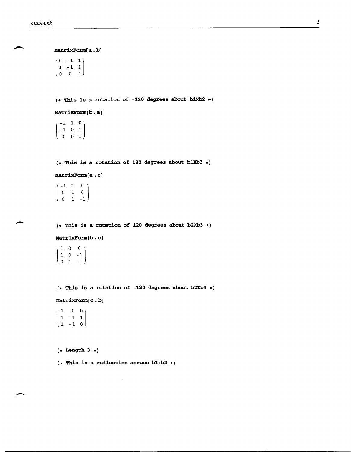MatrixForm[a. b]  $\left(\begin{array}{rrr} 0 & -1 & 1 \\ 1 & -1 & 1 \\ 0 & 0 & 1 \end{array}\right)$ (\* This is a rotation of -120 degrees about b1Xb2 \*) MatrixForm[b . a]  $\begin{bmatrix} -1 & 1 & 0 \\ -1 & 0 & 1 \end{bmatrix}$  $\begin{pmatrix} \cdot & \cdot & \cdot \\ \cdot & \cdot & \cdot \\ \cdot & \cdot & \cdot \end{pmatrix}$ o 0 1  $(*$  This is a rotation of 180 degrees about b1Xb3  $*)$ MatrixForm[a. c]  $(-1 \ 1 \ 0$  $0$  1 0  $0 \quad 1 \quad -1$  $(*)$  This is a rotation of 120 degrees about b2Xb3  $*)$ MatrixForm[b • c]  $(1 \ 0 \ 0)$  $\begin{vmatrix} 1 & 0 & -1 \end{vmatrix}$  $\begin{pmatrix} 0 & 1 & -1 \end{pmatrix}$  $(*$  This is a rotation of -120 degrees about b2Xb3  $*)$ MatrixForm[c.b]  $\begin{bmatrix} 1 & 0 & 0 \\ 1 & -1 & 1 \end{bmatrix}$  $\begin{pmatrix} 1 & -1 & 0 \end{pmatrix}$  $(*$  Length  $3 *$ )  $(*$  This is a reflection across b1+b2  $*)$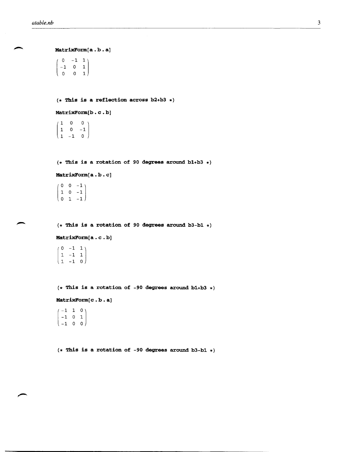MatrixForm[a. b. a]  $\left(\begin{array}{rrr} 0 & -1 & 1 \\ -1 & 0 & 1 \\ 0 & 0 & 1 \end{array}\right)$  $0 \t1$ 

 $(*$  This is a reflection across b2+b3  $*)$ 

MatrixForm[b.c.b]

 $(1 \ 0 \ 0)$  $\begin{bmatrix} 1 & 0 & -1 \\ 1 & -1 & 0 \end{bmatrix}$ 

 $(*$  This is a rotation of 90 degrees around b1+b3  $*)$ 

MatrixForm[a.b.c]

 $\left( \begin{array}{rrr} 0 & 0 & -1 \\ 1 & 0 & -1 \\ 0 & 1 & -1 \end{array} \right)$ 

 $(*$  This is a rotation of 90 degrees around b3-b1  $*)$ 

MatrixForm[a.c.b]

 $\overline{\phantom{a}}$  $\begin{bmatrix} 0 & -1 & 1 \\ 1 & -1 & 1 \end{bmatrix}$  $1 -1 0$ 

(\* This is a rotation of -90 degrees around bl+b3 \*)

MatrixForm[c.b.a]

 $\left( \begin{array}{ccc} -1 & 1 & 0 \ -1 & 0 & 1 \ -1 & 0 & 0 \end{array} \right)$ 

(\* This is a rotation of -90 degrees around b3-bl \*)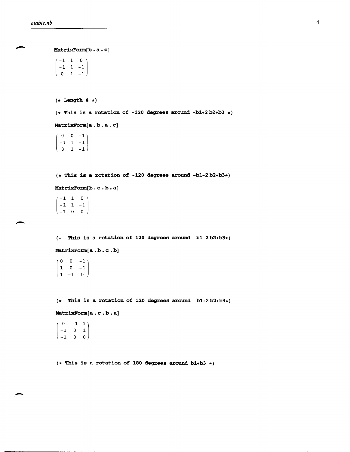```
MatrixForm[b.a.c]
 (-1 \ 1 \ 0)-1 1 -1\begin{pmatrix} 0 & 1 & -1 \end{pmatrix}(* Length 4 *)(* This is a rotation of -120 degrees around -bl+2 b2+b3 *) 
MatrixForm[a. b. a. c) 
 (0 \ 0 \ -1)-1 1 -1\begin{pmatrix} 0 & 1 & -1 \end{pmatrix}(* This is a rotation of -120 degrees around -bl-2b2+b3*) 
MatrixForm[b.c.b.a]
 -1 1 0
 \begin{vmatrix} -1 & 1 & -1 \\ -1 & 0 & 0 \end{vmatrix}(* This is a rotation of 120 degrees around -bl-2 b2+b3*) 
MatrixForm[a. b. c • b) 
 (0 \t 0 \t -1)\begin{bmatrix} 1 & 0 & -1 \\ 1 & -1 & 0 \end{bmatrix}(* This is a rotation of 120 degrees around -bl+2 b2+b3*) 
MatrixForm[a. c • b • a) 
   0 -1 1
```
 $\begin{pmatrix} -1 & 0 & 1 \\ -1 & 0 & 0 \end{pmatrix}$ 

 $(*$  This is a rotation of 180 degrees around b1+b3  $*)$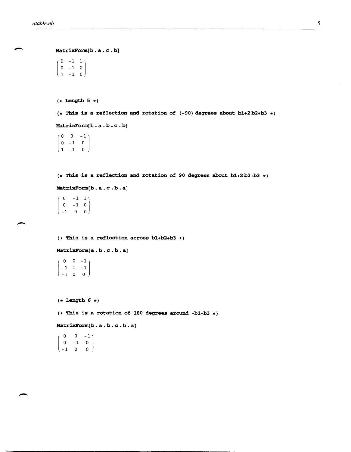```
MatrixFonn[b . a. c . b] 
 \left(\begin{array}{ccc} 0 & -1 & 1 \\ 0 & -1 & 0 \end{array}\right)\begin{bmatrix} 0 & -1 & 0 \\ 1 & -1 & 0 \end{bmatrix}(* Length 5 *) 
(* This is a reflection and rotation of (-90) degrees about bl+2b2+b3 *) 
MatrixForm[b. a . b . c . b] 
  \begin{bmatrix} 0 & 0 & -1 \\ 0 & -1 & 0 \end{bmatrix}\begin{bmatrix} 0 & -1 & 0 \\ 1 & -1 & 0 \end{bmatrix}(* This is a reflection and rotation of 90 degrees about b1+2 b2+b3 *MatrixForm[b . a . c . b . a] 
   0 - 1 1
  0 - 1 0-1001
(* This is a reflection across bl+b2+b3 *) 
MatrixForm[a. b. c . b. a] 
   0 \t 0 \t -1-1 1 -1\begin{pmatrix} -1 & 0 & 0 \end{pmatrix}(* Length 6 *) 
(* This is a rotation of 180 degrees around -bl+b3 *) 
MatrixFonn[b. a. b. c . b. a] 
   \circ0 - 1\begin{bmatrix} 0 & -1 & 0 \\ -1 & 0 & 0 \end{bmatrix}
```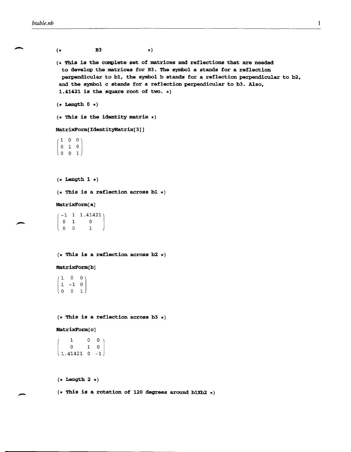| $($ *                                                                                     | B3                                    | $\star$ )                                |                                                                                                                                                                                                                                                                                                            |
|-------------------------------------------------------------------------------------------|---------------------------------------|------------------------------------------|------------------------------------------------------------------------------------------------------------------------------------------------------------------------------------------------------------------------------------------------------------------------------------------------------------|
|                                                                                           |                                       | 1.41421 is the square root of two. $*)$  | $(*$ This is the complete set of matrices and reflections that are needed<br>to develop the matrices for B3. The symbol a stands for a reflection<br>perpendicular to b1, the symbol b stands for a reflection perpendicular to b2,<br>and the symbol c stands for a reflection perpendicular to b3. Also, |
| $(*$ Length $0 *$ )                                                                       |                                       |                                          |                                                                                                                                                                                                                                                                                                            |
|                                                                                           | $(*$ This is the identity matrix $*)$ |                                          |                                                                                                                                                                                                                                                                                                            |
|                                                                                           | MatrixForm[IdentityMatrix[3]]         |                                          |                                                                                                                                                                                                                                                                                                            |
| $\begin{pmatrix} 1 & 0 & 0 \\ 0 & 1 & 0 \\ 0 & 0 & 1 \end{pmatrix}$                       |                                       |                                          |                                                                                                                                                                                                                                                                                                            |
| $(*$ Length 1 $*)$                                                                        |                                       |                                          |                                                                                                                                                                                                                                                                                                            |
|                                                                                           |                                       | $(*$ This is a reflection across b1 $*)$ |                                                                                                                                                                                                                                                                                                            |
| MatrixForm[a]                                                                             |                                       |                                          |                                                                                                                                                                                                                                                                                                            |
| $\left(\begin{array}{rrrr} -1 & 1 & 1.41421 \\ 0 & 1 & 0 \\ 0 & 0 & 1 \end{array}\right)$ |                                       |                                          |                                                                                                                                                                                                                                                                                                            |
|                                                                                           |                                       | $(*$ This is a reflection across b2 $*)$ |                                                                                                                                                                                                                                                                                                            |
| MatrixForm[b]                                                                             |                                       |                                          |                                                                                                                                                                                                                                                                                                            |
| $\begin{pmatrix} 1 & 0 & 0 \\ 1 & -1 & 0 \\ 0 & 0 & 1 \end{pmatrix}$                      |                                       |                                          |                                                                                                                                                                                                                                                                                                            |
|                                                                                           |                                       | $(*$ This is a reflection across b3 $*)$ |                                                                                                                                                                                                                                                                                                            |
| MatrixForm[c]                                                                             |                                       |                                          |                                                                                                                                                                                                                                                                                                            |
| $\begin{array}{cccc} & 1 & & 0 & 0 \\ & & 0 & & 1 & 0 \\ 1.41421 & 0 & -1 \end{array}$    |                                       |                                          |                                                                                                                                                                                                                                                                                                            |
| $(*$ Length 2 $*)$                                                                        |                                       |                                          |                                                                                                                                                                                                                                                                                                            |

(\* This is a rotation of 120 degrees around b1Xb2 \*)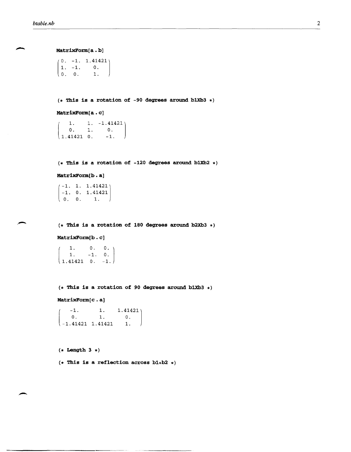MatrixForm[a.b]

 $\begin{pmatrix} 0 & 0 & 1. \end{pmatrix}$  $(0. -1. 1.41421)$ 1. -1. O.

 $(*$  This is a rotation of -90 degrees around b1Xb3  $*)$ 

## MatrixForm[a. c]

 $\begin{cases} 1.41421 & 0. & -1. \end{cases}$ 1.  $1. -1.41421$  $0.$  1. 0.<br>41421 0. -1.

 $(*$  This is a rotation of -120 degrees around b1Xb2  $*)$ 

```
MatrixForm[b • a]
```
 $\begin{pmatrix} 0. & 0. & 1. \end{pmatrix}$  $(-1. 1. 1.41421)$ -1. O. 1.41421

 $(*$  This is a rotation of 180 degrees around b2Xb3  $*)$ 

#### MatrixForm[b • c]

 $\begin{cases} 1.41421 & 0. & -1. \end{cases}$ 1. O.  $1. -1. 0.$ 

 $(*$  This is a rotation of 90 degrees around b1Xb3  $*)$ 

MatrixForm[c.a]

 $\begin{array}{|c|c|c|c|c|c|c|c|c|} \hline -1.41421 & 1.41421 & 1. \hline \end{array}$  $\begin{bmatrix} -1. & 1. & 1.41421 \\ 0. & 1. & 0. \end{bmatrix}$  $\overline{\mathbf{0}}$ .

 $(*$  Length  $3 *$ )

-

 $(*$  This is a reflection across b1+b2  $*)$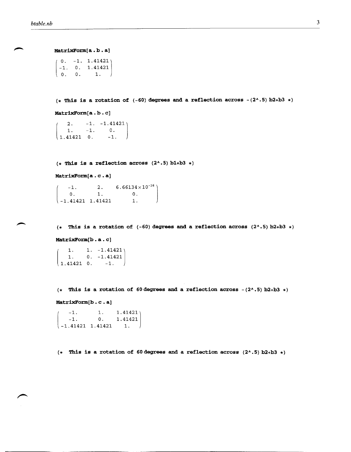MatrixForm[a.b.a]

 $\begin{pmatrix} 1 & 0 & 1 & 1 \\ 0 & 0 & 1 & 1 \end{pmatrix}$  $0. -1. 1.41421$ -1. o. 1. 41421

(\* This is a rotation of  $(-60)$  degrees and a reflection across  $-(2^* \cdot 5)$  b2+b3 \*)

MatrixForm[a.b.c]

 $1.41421$  0. 2.  $-1. -1.41421$ 1.  $-1.$  0. -1.

 $(*$  This is a reflection across  $(2^* \tcdot 5)$  bl+b3 \*)

MatrixForm[a.c.a]

 $-1.$  2. 6.66134 $\times$ 10<sup>-16</sup> O. 1. -1.41421 1.41421 o. 1.

(\* This is a rotation of  $(-60)$  degrees and a reflection across  $(2^{\lambda}.5)$  b2+b3 \*)

MatrixForm[b.a.c]

 $\begin{array}{cccc} 1.41421 & 0. & -1. \end{array}$ 1.  $1. -1.41421$ 1. O. -1.41421

 $(*$  This is a rotation of 60 degrees and a reflection across  $-(2^* \cdot 5)$  b2+b3  $*)$ 

MatrixForm[b.c.a]

 $\begin{array}{|c|c|c|c|c|c|c|c|} \hline -1.41421 & 1.41421 & 1. \hline \end{array}$  $-1.$  1. 1.41421)<br>  $-1.$  0. 1.41421  $0. 1.41421$ 

 $(*$  This is a rotation of 60 degrees and a reflection across  $(2^* \tcdot 5)$  b2+b3  $*)$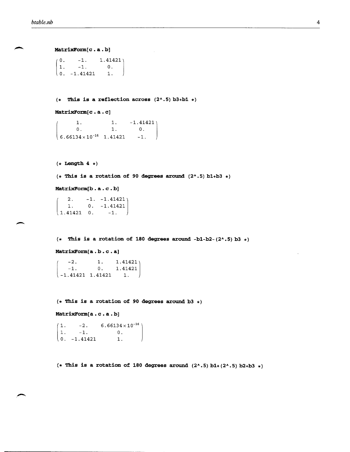-

```
MatrixForm[c.a.b]
 \begin{pmatrix} 1 & -1 & 0 \\ 0 & -1 & 41421 & 1 \end{pmatrix}\begin{pmatrix} 0 & -1 \\ -1 & -1 \end{pmatrix}1. -1.1.41421)1.01.
(* This is a reflection across (2^* \tcdot 5) b3+b1 *)MatrixForm[c.a.c]
 (6.66134\times10^{-16} 1.41421
         1. 1. 
         0. 1.
(* Length 4 *)-1.41421 \big\}o. 
                                -1. 
(* This is a rotation of 90 degrees around (2^* \cdot 5) b1+b3 *)
MatrixForm[b. a . c • b] 
 \begin{cases} 1.41421 & 0. & -1. \end{cases}2. -1. -1.414211. O. -1.41421 
(* This is a rotation of 180 degrees around -b1-b2-(2^* \cdot 5) b3 *)MatrixForm[a.b.c.a]
 \begin{array}{|c|c|c|c|c|c|c|c|}\n-1.41421 & 1.41421 & 1. \n\end{array}2. 1. 1.41421-1. 0. 1.41421
(* This is a rotation of 90 degrees around b3 *)MatrixForm[a.c.a.b]
 (1. -2.1. -1.\binom{0. -1.41421}{6.66134\times10^{-16}O. 
                        1. 
 (* This is a rotation of 180 degrees around (2^* \cdot 5) b1+(2^* \cdot 5) b2+b3 *)
```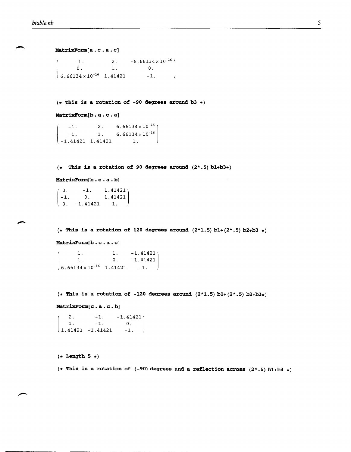```
MatrixFonn[a . c . a . c] 
\begin{array}{|c} 6.66134 \times 10^{-16} \quad 1.41421 \end{array}-1.
       0.2. -6.66134 \times 10^{-16}1. 
O. 
                                   -1.(* This is a rotation of -90 degrees around b3 *) 
MatrixFonn[b . a . c . a] 
     -1. 2. 6.66134\times 10^{-16} )
     -1. 1. 6.66134\times10<sup>-16</sup>
  -1.41421 1.41421 1.(* This is a rotation of 90 degrees around (2^* \cdot 5) b1+b3*)
MatrixFonn[b . c . a . b]
```

```
\begin{array}{|c|c|c|c|c|c|c|c|c|} \hline 0. & -1.41421 & 1. \hline \end{array}(0.-1. 
O. 1. 41421 
        -1. 1.41421
```
 $(*$  This is a rotation of 120 degrees around  $(2^*1.5)$  b1+ $(2^*0.5)$  b2+b3 \*)

**MatrixForm[b . c . a . c]** 

 $\begin{array}{|c|c|c|c|c|c|} \hline 6.66134 \times 10^{-16} & 1.41421 & -1. \hline \end{array}$ 1. 1. 1. O. -1.41421 -1. 41421

 $(*$  This is a rotation of  $-120$  degrees around  $(2^*1.5)$   $b1+(2^*.5)$   $b2+b3*)$ 

**MatrixForm[c . a. c . b]** 

 $\begin{array}{|c|c|c|c|c|c|c|c|} \hline 1.41421 & -1.41421 & -1. \hline \end{array}$ 2.  $-1.$   $-1.41421$ <br>1.  $-1.$  0.  $-1.$ 

**(\* Length 5 \*)** 

 $(*$  This is a rotation of  $(-90)$  degrees and a reflection across  $(2^* \tcdot 5)$  b1+b3  $*)$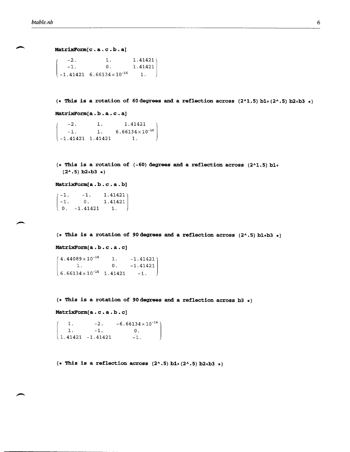```
MatrixFonn[c . a . c . b . a]
```

|                                          | 1.                                           |                                                    |
|------------------------------------------|----------------------------------------------|----------------------------------------------------|
| $\begin{pmatrix} -2 \\ -1 \end{pmatrix}$ | 0.                                           | $\begin{bmatrix} 1.41421 \\ 1.41421 \end{bmatrix}$ |
|                                          | $\{-1.41421 \quad 6.66134 \times 10^{-16}\}$ | 1.                                                 |

 $(*$  This is a rotation of 60 degrees and a reflection across  $(2^1.5)$  b1+ $(2^1.5)$  b2+b3  $*)$ 

**MatrixFonn[a . b . a . c . a]** 

 $\begin{pmatrix} -2. & 1. & 1.414 \\ -1. & 1. & 6.66134 \\ -1.41421 & 1.41421 & 1. \end{pmatrix}$  $-1.$ 1. 1. 41421 1 1.  $6.66134 \times 10^{-16}$ 

 $(*$  This is a rotation of  $(-60)$  degrees and a reflection across  $(2^{\wedge}1.5)$  bl+  $(2^{\lambda} \cdot 5)$  b2+b3 \*)

**MatrixFonn[a . b . c . a . b]** 

 $\begin{bmatrix} 0. & -1.41421 & 1. \end{bmatrix}$  $(-1.$  $-1.$  0. 1.41421  $-1.$  1.41421)

 $(*$  This is a rotation of 90 degrees and a reflection across  $(2^{\lambda}.5)$  bl+b3  $*)$ 

**MatrixFonn[a . b . c . a . c]** 

 $(6.66134 \times 10^{-16} \quad 1.41421 \qquad -1.$  $4.44089 \times 10^{-16}$  1.  $-1.41421$ 1. O. -1. 41421

**(\* This is a rotation of** 90 degrees **and a reflection across b3 \*)** 

**MatrixFonn[a . c . a . b . c]** 

 $\begin{bmatrix} 1.41421 & -1.41421 \end{bmatrix}$ 1. 1.  $-2. -6.66134 \times 10^{-16}$ -1. O. -1.

 $(*$  This is a reflection across  $(2^* \cdot 5)$  b1+ $(2^* \cdot 5)$  b2+b3 \*)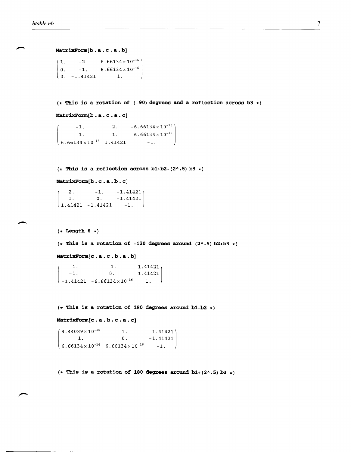MatrixForm[b.a.c.a.b]

```
\begin{array}{cccc} 0. & -1.41421 & 1. \end{array}1. -2. 6.66134 \times 10^{-16}0. -1.6.66134\times10^{-16}
```
**(\* This is a rotation of** (-90) **degrees and a reflection across b3 \*)** 

**MatrixFo:rm.[b . a . c • a . c]** 

 $-1.$  2.  $-6.66134 \times 10^{-16}$  $-1.$  1.  $-6.66134 \times 10^{-16}$  $\begin{array}{|l|} \hline 6.66134 \times 10^{-16} & 1.41421 & -1. \hline \end{array}$ 

 $(*$  This is a reflection across  $b1+b2+(2 \cdot .5) b3(*)$ 

**MatrixFo:rm[b . c . a . b . c]** 

 $\begin{bmatrix} 1. & 0. & -1.41421 \\ 1.41421 & 1.41421 & 1. \end{bmatrix}$ 2.  $-1. 41421$  $1.41421 - 1.41421 - 1.$ 

 $(*$  Length 6  $*)$ 

 $(*$  This is a rotation of -120 degrees around  $(2^* \cdot 5)$  b2+b3  $*)$ 

**MatrixFo:rm[c . a . c . b . a • b]** 

 $-1.$   $-1.$  $-1.$  0. 1. 41421 1. 41421  $-1.41421 -6.66134 \times 10^{-16}$  1.

**(\* This is a rotation of 180 degrees around bl+b2 \*)** 

MatrixForm[c.a.b.c.a.c]

 $4.44089 \times 10^{-16}$  1.  $-1.41421$  $1.$  0.  $-1.41421$  $6.66134 \times 10^{-16}$  6.66134  $\times 10^{-16}$  -1.

 $(*$  This is a rotation of 180 degrees around  $b1+(2 \cdot .5) b3 *$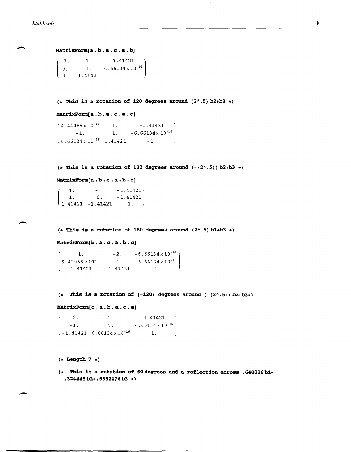```
MatrixForm[a.b.a.c.a.b]<br>
\begin{pmatrix} -1. & -1. & 1.41421 \\ 0. & 1. & 6.66134 \times 10^{-16} \end{pmatrix}\begin{pmatrix} 0 & -1.41421 & 1. \end{pmatrix}-1. 
  o. 
               -1. 6.66134\times10<sup>-16</sup>
```
 $(*$  This is a rotation of 120 degrees around  $(2^* \cdot 5)$  b2+b3  $*)$ 

```
MatrixFo:rm[a . b • a . c • a • c)
```

```
4.44089 \times 10^{-16} 1. -1.41421-1. 1. -6.66134 \times 10^{-16}(6.66134 \times 10^{-16} \quad 1.41421 \quad -1.
```
 $(*$  This is a rotation of 120 degrees around  $(-(2^k \cdot 5))$  b2+b3 \*)

```
MatrixFo:rm[a . b • c • a • b • c)
```
 $\begin{array}{cccc} 1.41421 & -1.41421 & -1. \end{array}$ 1.  $-1. 41421$ 1. O. -1.41421

 $(*$  This is a rotation of 180 degrees around  $(2^* \cdot 5)$  b1+b3  $*)$ 

**MatrixFo:rm[b** . a • c • a . b • **c)** 

```
\mathsf{L}1. 
 9.42055\times10<sup>-16</sup> -1. -6.66134\times10<sup>-16</sup>
    1.41421 -1.41421 -1.-2. -6.66134\times10^{-16}
```
 $(*$  This is a rotation of  $(-120)$  degrees around  $(-(2^* \cdot 5))$  b2+b3\*)

```
MatrixFOrm[c . a. b. a. c . a]
```
 $\begin{bmatrix} -1.41421 & 6.66134 \times 10^{-16} & 1. \end{bmatrix}$  $-2.$  1. 1.41421  $-1.$  1. 6.66134 $\times$ 10<sup>-16</sup>

(\* **Length 7 \*)** 

(\* **This is a rotation of 60degrees and a reflection across .648886bl+ .324443 b2+. 6882476 b3 \*)**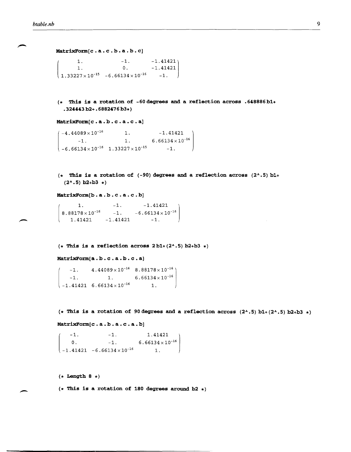```
MatrixForm[c . a. c . b. a. b. c]
```
 $\begin{array}{|c|c|c|c|c|c|c|c|} \hline 1.33227 \times 10^{-15} & -6.66134 \times 10^{-16} & -1. \hline \end{array}$ 1.  $-1.$   $-1.41421$ <br>1. 0.  $-1.41421$  $-1.41421$ 

**(\* This is a rotation of -60degrees and a reflection across .648886bl+ .324443 b2+. 6882476 b3\*)** 

**MatrixForm[ c . a . b . c . a . c . a]** 

```
-4.44089\times10^{-16}-1. 1. 6.66134 \times 10^{-16}1. 
                                             -1.41421 
\begin{array}{|c|c|c|c|c|}\n-6.66134 \times 10^{-16} & 1.33227 \times 10^{-15} & -1. \end{array}
```
**(\* This is a rotation of** (-90) **degrees and a reflection across (2 .... 5) bl+**   $(2^{\lambda} \cdot 5)$  **b**2+**b**3 \*)

**MatrixForm[b. a. b . c . a. c . b]** 

1.  $8.88178 \times 10^{-16}$  -1.  $-6.66134 \times 10^{-16}$  $1.41421 -1.41421 -1.$  $-1.41421$ 

 $(*$  This is a reflection across  $2 b1+(2^* \cdot 5) b2+b3*$ 

**MatrixForm[a. b. c . a. b. c . a]** 

 $-1.$  4.44089  $\times$  10<sup>-16</sup> 8.88178  $\times$  10<sup>-16</sup>)  $-1.$  1. 6.66134  $\times$  10<sup>-16</sup>  $-1.41421 \quad 6.66134 \times 10^{-16}$  1.

 $(*$  This is a rotation of 90 degrees and a reflection across  $(2^k.5)$  b1+ $(2^k.5)$  b2+b3  $*)$ 

**MatrixForm[c . a. b. a. c . a. b]** 

 $\begin{pmatrix} -1. & -1. & 1.41421 \\ 0. & -1. & 6.66134 \times 10^{-16} \\ -1.41421 & -6.66134 \times 10^{-16} & 1. \end{pmatrix}$ -1.  $0.$  $-1.$  1.41421<br>-1. 6.66134×10<sup>-16</sup>

**(\* Length 8 \*)** 

 $\overline{\phantom{a}}$ 

**(\* This is a rotation of 180 degrees around b2 \*)**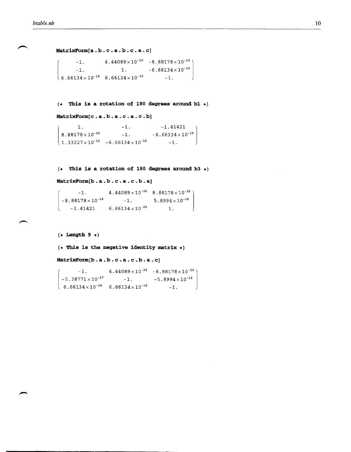**MatrixFonn[a . b . c . a . b . c . a . c]** 

```
-1. 4.44089\times10<sup>-16</sup> -8.88178\times10^{-16}-1. 1. -6.66134 \times 10^{-16}\begin{array}{|c|c|c|c|c|}\n\hline\n6.66134 \times 10^{-16} & 6.66134 \times 10^{-16} & -1.\n\end{array}
```
**(\* This is a rotation of 180 degrees around bl \*)** 

**MatrixForm[c . a. b. a. c . a. c . b]** 

```
\begin{cases} 1 \cdot \\ 8.88178 \cdot \\ 1.33227 \cdot \end{cases}8.88178\times10^{-16}1.33227 \times 10^{-15} -6.66134 \times 10^{-16} -1.
                                              -1. 
                                              c.a.c.b]<br>-1. -1.41421<br>-1. -6.66134 \times 10^{-16}
```
**(\* This is a rotation of 180 degrees around b3 \*)** 

 $\sim$   $\sim$ 

**MatrixForm[b . a . b . c . a . c . b . a]** 

| $-1$                     | $4.44089\times10^{-16}$ 8.88178 $\times10^{-16}$ |                          |  |
|--------------------------|--------------------------------------------------|--------------------------|--|
| $-8.88178\times10^{-16}$ | $-1$ .                                           | $5.8994 \times 10^{-16}$ |  |
| $-1.41421$               | $6.66134 \times 10^{-16}$                        | 1.                       |  |

 $(*$  Length 9  $*)$ 

**(\* This is the negative identity matrix \*)** 

**MatrixFonn[b . a . b . c . a . c . b . a . c]** 

```
-1. 4.44089×10<sup>-16</sup> -8.88178\times10^{-16}-5.38771 \times 10^{-17} -1. -5.8994 \times 10^{-16}6.66134×10<sup>-16</sup> 6.66134×10<sup>-16</sup> -1.
```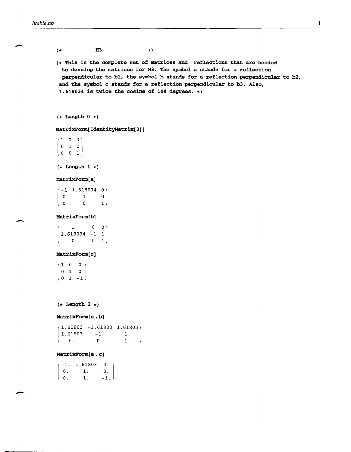,-

 $\overline{\phantom{0}}$ 

 $($  + H3  $\star$ ) (\* This is the complete set of matrices and reflections that are needed to develop the matrices for H3. The symbol a stands for a reflection perpendicular to bl, the symbol b stands for a reflection perpendicular to b2, and the symbol c stands for a reflection perpendicular to b3. Also, 1.618034 is twice the cosine of **144** degrees. \*)  $(*$  Length  $0 *$ )

MatrixForm[IdentityMatrix[3]]

 $100$  $0\quad 1\quad 0$ (001)

 $(*$  Length 1  $*)$ 

## MatrixForm[a]

|   | -1 1.618034 0۱ |                |
|---|----------------|----------------|
| O |                | 0 I            |
| O | O              | 1 <sup>1</sup> |

## MatrixForm[b]

|                | 0        | 0 <sub>1</sub> |
|----------------|----------|----------------|
| $1.618034 - 1$ |          | 1              |
|                | $\Omega$ | 1)             |

## MatrixForm[c]

 $1 \quad 0 \quad 0$  $0\quad 1\quad 0$  $(0 \t1 -1)$ 

 $(*$  Length 2  $*)$ 

## MatrixForm[a.b]

[  $(1.61803 - 1.61803 1.61803)$ 1.61803 -1. 1. O. o. 1.

## MatrixForm[a.c]

[ -1. 1.61803 o. o. 1. 1.  $0.$ -1.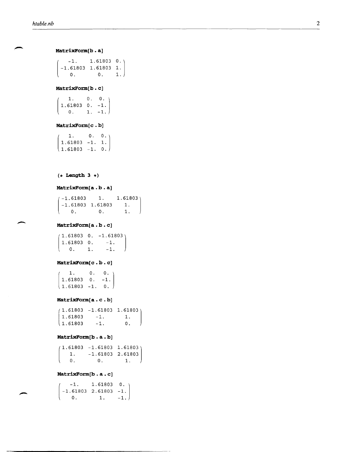**MatrixForm[b . a]** 

 $\begin{pmatrix} 0 & 0 & 1. \end{pmatrix}$  $-1.$  1.61803 0.) -l. 61803 l. 61803 l.

## **MatrixForm[b . c]**

 $\begin{pmatrix} 1.61803 & 0. & -1. \\ 0. & 1. & -1. \end{pmatrix}$  $\begin{bmatrix} 1. & 0. & 0. \\ 1.61803 & 0. & -1. \end{bmatrix}$ 

## **MatrixForm[c . b]**

 $\begin{cases} 1.61803 - 1. & 0. \end{cases}$  $\begin{bmatrix} 1. & 0. & 0. \ 1.61803 & -1. & 1. \end{bmatrix}$ 

## **(\* Length 3 \*)**

## **MatrixForm[a. b. a]**

 $( -1.61803 \qquad 1. 1.61803 )$  $-1.61803$  1.61803 1.<br>0. 0. 1.  $\begin{matrix} 0 & 0 & 0 \end{matrix}$ 

## - **MatrixForm[a . b . c]**

 $(1.61803 \ 0. -1.61803)$  $1.61803 \t 0. \t -1.$ <br>0. 1. -1.  $0.$  1.

## **MatrixForm[c . b. c]**

 $\begin{vmatrix} 1.61803 & 0. & -1. \end{vmatrix}$  $1. 0. 0.$  $\begin{pmatrix} 1.61803 & -1. & 0. \end{pmatrix}$ 

## **MatrixForm[a . c . b]**

 $(1.61803 -1.61803 1.61803)$  $\begin{vmatrix} 1.61803 & -1. & 1. \end{vmatrix}$  $1.61803 -1.$  0.

## **MatrixForm[b . a. b]**

 $(1.61803 -1.61803 1.61803)$  $\begin{bmatrix} 1. & -1.61803 & 2.61803 \ 0. & 0. & 1. \end{bmatrix}$  $\begin{array}{ccc} 0. & \hspace{1.5cm} & 1. \end{array}$ 

## **MatrixForm[b . a . c]**

 $\begin{pmatrix} -1 & 1.61803 & 0. \\ -1.61803 & 2.61803 & -1. \end{pmatrix}$  $-1.$  1.61803 0.  $\begin{pmatrix} 0 & 1 & -1 \end{pmatrix}$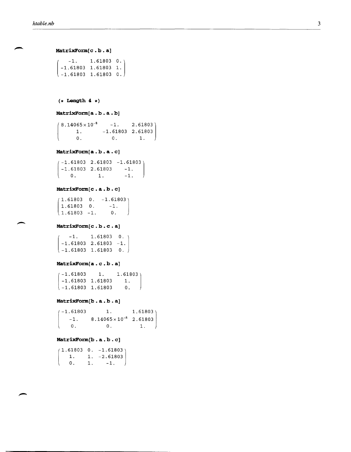**MatrixFo:rm[ c . b . a]** 

[ -1. 61803 1. 61803 o.  $-1.$  1.61803 0. -1.61803 1.61803 1.

 $(*$  Length 4  $*)$ 

```
MatrixFo:rm[a . b . a . b]
```
(  $(8.14065 \times 10^{-8} \quad -1. \quad 2.61803)$ 1. -1.61803 2.61803 O. O. 1.

## MatrixForm[a.b.a.c]

[  $(-1.61803 \quad 2.61803 \quad -1.61803)$  $-1.61803$  2.61803  $-1$ .<br>0. 1.  $-1$ .  $0.$   $1.$ 

## **MatrixFo:rm[c . a. b. c]**

 $\begin{cases} 1.61803 - 1. & 0. \end{cases}$  $(1.61803 \t 0. -1.61803)$  $1.61803$  0.  $-1$ .  $\{ 1.61803 - 1.$  0.<br>**MatrixForm[c.b.c.a]** 

 $\begin{array}{cccc} -1.61803 & 1.61803 & 0. \end{array}$  $-1.$  1.61803 0.  $-1.61803$  2.61803  $-1.$ 

## **MatrixFo:rm[a. c . b. a]**

 $\begin{array}{|c|c|c|c|c|}\n-1.61803 & 1.61803 & 0. \end{array}$  $(-1.61803 1. 1.61803)$ -1.61803 1.61803 1.

## **MatrixFo:rm[b . a . b . a]**

(  $(-1.61803$  1.  $1.61803)$  $-1.$  8.14065 $\times$ 10<sup>-8</sup> 2.61803 o. o. 1.

## **MatrixFo:rm[b. a. b. c]**

|              |    | $(1.61803 \t 0. -1.61803)$ |
|--------------|----|----------------------------|
| $\mathbf{1}$ |    | $1. -2.61803$              |
| 0.           | Ί. | $-1$ .                     |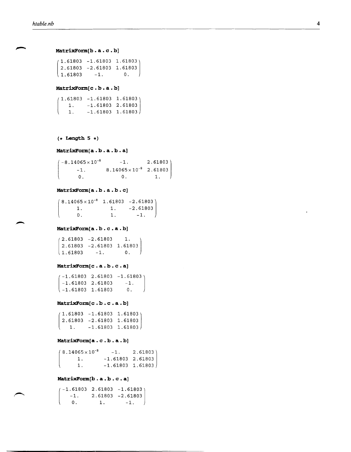-

```
MatrixForm[b. a . c . b]
```
 $\begin{cases} 1.61803 & -1. \end{cases}$  0.  $(1.61803 - 1.61803 1.61803)$ 2.61803 -2.61803 **1.61803** 

#### **MatrixFo:rm[c . b. a. b]**

[  $(1.61803 - 1.61803 1.61803)$ 1. -1.61803 2.61803  $-1.61803$  1.61803

```
(* Length 5 *)
```
[

#### **MatrixFo:rm[a. b. a. b. a]**

 $-8.14065 \times 10^{-8}$   $-1.$  2.61803  $-1.$  8.14065 $\times$ 10<sup>-8</sup> 2.61803 O. O. 1.

## **MatrixFo:rm[a . b . a . b . c]**

 $\mathsf{I}$  $(8.14065 \times 10^{-8} \quad 1.61803 \quad -2.61803)$ 1. 1. -2.61803<br>0. 1. -1.  $1.$   $-1.$ 

## **MatrixFo:rm[a . b . c . a . b]**

 $\begin{array}{ccc} 1.61803 & -1. & 0. \end{array}$  $(2.61803 - 2.61803)$  1.  $2.61803 -2.61803$   $1.61803$ <br>1.61803 -1. 0.

## **MatrixFo:rm[ c . a . b . c . a]**

 $\begin{array}{cccc} \downarrow -1.61803 & 1.61803 & 0. \end{array}$  $(-1.61803 \quad 2.61803 \quad -1.61803)$  $-1.61803$  2.61803  $-1$ .

## **MatrixForm[c . b . c . a . b]**

 $\begin{array}{cccc} 1. & -1.61803 & 1.61803 \end{array}$  $(1.61803 - 1.61803 1.61803)$ 2.61803 -2.61803 **1.61803** 

## **MatrixFo:rm[a . c . b. a. b]**

 $\overline{\phantom{a}}$  $(8.14065 \times 10^{-8} \quad -1. \quad 2.61803)$ 1. -1.61803 2.61803 1. -1. 61803 1. 61803

## **MatrixFo:rm[b . a . b . c . a]**

 $\overline{\phantom{a}}$ -1.\_6 1.803 2.61803 **-1.61803]**  1 2.61803 -2.61803  $0. 1. -1.$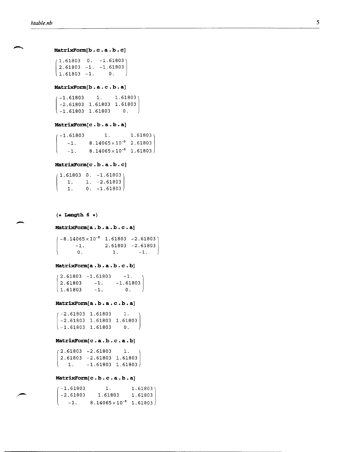```
MatrixForm[b.c.a.b.c]
```
 $\begin{bmatrix} 1.61803 & -1. & 0. \end{bmatrix}$  $(1.61803 \t 0. -1.61803)$ 2.61803 -1. -1.61803

## MatrixForm[b.a.c.b.a]

 $\begin{array}{cccc} \downarrow -1.61803 & 1.61803 & 0. \end{array}$  $( -1.61803 1. 1.61803 )$ -2.61803 1.61803 1.61803

## **MatrixFo:rm.[c • b • a • b • a]**

 $\overline{\phantom{a}}$  $(-1.61803$  1.  $-1.$  8.14065 $\times$ 10<sup>-8</sup> 2.61803  $-1.$  8.14065 $\times$ 10<sup>-8</sup> 1.61803 1.61803

## MatrixForm[c.b.a.b.c]

|            | (1.61803 0. –1.61803) |
|------------|-----------------------|
|            | 1. 1. $-2.61803$      |
| <b>I</b> . | $0. -1.61803$         |

 $(*$  Length 6  $*)$ 

[

 $\overline{\phantom{a}}$ 

#### MatrixForm[a.b.a.b.c.a]

 $(-8.14065\times10^{-8}$  1.61803 -2.61803)  $-1.$  2.61803  $-2.61803$  $0. 1. -1.$ 

## MatrixForm[a.b.a.b.c.b]

 $\begin{array}{ccc} 1.61803 & -1. & 0. \end{array}$  $(2.61803 - 1.61803 - 1)$  $2.61803 -1. -1.61803$ 

## MatrixForm[a.b.a.c.b.a]

 $\begin{array}{|c|c|c|c|c|}\n-1.61803 & 1.61803 & 0. \end{array}$  $(-2.61803 \quad 1.61803 \quad 1.$ -2.61803 1. 61803 1. 61803

#### MatrixForm[c.a.b.c.a.b]

 $\begin{array}{cccc} 1. & -1.61803 & 1.61803 \end{array}$  $(2.61803 - 2.61803 1.$ 2.61803 -2.61803 1.61803

### MatrixForm[c.b.c.a.b.a]

| 4-1.61803  | $\mathbf{1}$                     | 1.61803 |
|------------|----------------------------------|---------|
| l -2.61803 | 1.61803                          | 1.61803 |
| $-1$ .     | $8.14065 \times 10^{-8}$ 1.61803 |         |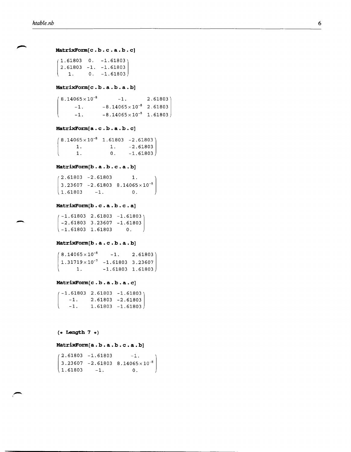$\overline{\phantom{0}}$ 

## **MatrixFonn[c . b. c . a. b. c]**

```
1. 0. -1.61803(1.61803 \t 0. -1.61803)2.61803 -1. -1. 61803
```
## **MatrixFonn[c . b. a. b. a. b]**

```
(8.14065 \times 10^{-8} -1. 2.61803)
     -1. -8.14065 \times 10^{-8} 2.61803
     -1. -8.14065 \times 10^{-8} 1.61803
```
## **MatrixFonn[a. c . b. a. b. c]**

 $\mathsf{L}$  $(8.14065 \times 10^{-8} \quad 1.61803 \quad -2.61803)$ 1. 1. -2.61803 1.  $0. -1.61803$ 

#### **MatrixFonn[b . a . b . c . a . b]**

 $\begin{array}{cccc} 1.61803 & -1. & 0. \end{array}$  $(2.61803 - 2.61803)$  1.  $3.23607 - 2.61803 8.14065 \times 10^{-8}$ 

## **MatrixFonn[b . c . a . b . c . a]**

 $\begin{array}{|c|c|c|c|c|c|} \hline -1.61803 & 1.61803 & 0. \hline \end{array}$  $(-1.61803 \quad 2.61803 \quad -1.61803)$  $-2.61803$  3.23607  $-1.61803$ 

## **MatrixFonn[b . a . c . b . a . b]**

 $(8.14065 \times 10^{-8} \quad -1. \quad 2.61803)$  $1.31719\times10^{-7}$  -1.61803 3.23607  $1. \hspace{1.5cm}$  -1.61803 1.61803

## **MatrixFonn[c . b. a. b. a. c]**

 $\overline{\mathfrak{g}}$  $(-1.61803 \quad 2.61803 \quad -1.61803)$  $-1.$  2.61803  $-2.61803$ <br> $-1.$  1.61803  $-1.61803$  $1.61803 -1.61803$ 

**(\* Length 7 \*)** 

#### **MatrixFonn[a. b. a. b. c. a. b]**

 $\begin{cases} 1.61803 & -1. \end{cases}$  0.  $2.61803 - 1.61803 - 1.$  $3.23607 - 2.61803 8.14065 \times 10^{-8}$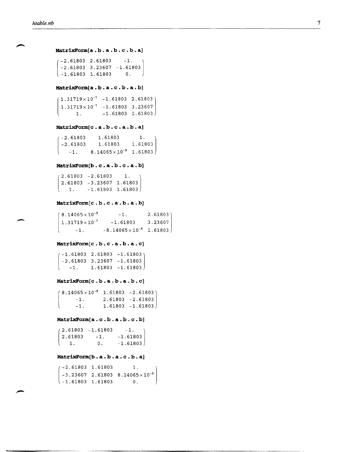$\overline{\phantom{a}}$ 

## **MatrixForm[a . b. a . b. c . b. a]**

 $\begin{array}{|c|c|c|c|c|c|c|c|} \hline -1.61803 & 1.61803 & 0. \hline \end{array}$  $(-2.61803 \quad 2.61803 \quad -1.$  $-2.61803$  3.23607  $-1.61803$ 

#### **MatrixForm[a . b. a. c . b. a. b]**

[  $(1.31719\times10^{-7} - 1.61803 2.61803)$  $1.31719\times10^{-7}$  -1.61803 3.23607  $1.$   $-1.61803$   $1.61803$ 

## **MatrixForm[c . a . b . c . a . b . a]**

 $\lfloor$  $( -2.61803 \qquad 1.61803 \qquad 1.$ -2.61803 1.61803 1.61803  $-1.$  8.14065 $\times$ 10<sup>-8</sup> 1.61803

#### **MatrixForm[b . c . a . b . c . a . b]**

[  $(2.61803 - 2.61803 1.$ 2.61803 -3.23607 1.61803  $1. \hspace{15pt}$  -1.61803 1.61803

## **MatrixForm[c . b. c . a. b. a. b]**

 $8.14065 \times 10^{-8}$  -1.  $1.31719 \times 10^{-7}$  -1.61803  $2.61803$ 3.23607  $-1.$   $-8.14065 \times 10^{-8}$  1.61803

#### **MatrixForm[c . b. c . a. b. a. c]**

 $\begin{array}{cccc} \n-1. & 1.61803 & -1.61803\n\end{array}$  $-1.61803$  2.61803  $-1.61803$ -2.61803 3.23607 -1.61803

## **MatrixForm[c . b. a. b. a. b. c]**

 $\left($  $(8.14065 \times 10^{-8} \quad 1.61803 \quad -2.61803)$  $-1.$  2.61803  $-2.61803$  $-1.$  1.61803  $-1.61803$ 

## **MatrixForm[a. c . b. a. b. c . b]**

|                                   | (2.61803 -1.61803 | $-1$ . $\qquad$ |
|-----------------------------------|-------------------|-----------------|
| $ 2.61803\rangle$                 | $-1$ .            | $-1.61803$      |
| $\begin{pmatrix} 1 \end{pmatrix}$ | $\mathsf{D}$ .    | $-1.61803$      |

## **MatrixForm[b . a . b . a . c . b . a]**

| $-2.61803$ 1.61803 | 1.                                                                                                     |  |
|--------------------|--------------------------------------------------------------------------------------------------------|--|
|                    | $\begin{pmatrix} -3.23607 & 2.61803 & 8.14065 \times 10^{-8} \\ -1.61803 & 1.61803 & 0. \end{pmatrix}$ |  |
| \-1.61803 1.61803  |                                                                                                        |  |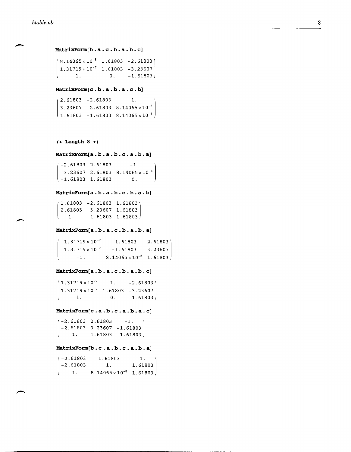$\overline{\phantom{a}}$ 

-

```
MatrixFo:rm[b . a . c . b . a . b . c]
```
(  $(8.14065 \times 10^{-8}$  1.61803 -2.61803)  $1.31719\times10^{-7}$  1.61803 -3.23607 1.  $0. -1.61803$ 

## **MatrixFo:rm[c . b. a. b. a. c . b]**

 $\begin{bmatrix} 1.61803 & -1.61803 & 8.14065 \times 10^{-8} \end{bmatrix}$  $(2.61803 - 2.61803)$  1.  $3.23607 - 2.61803 8.14065 \times 10^{-8}$ 

 $(*$  Length 8  $*)$ 

**MatrixForm[a.b.a.b.c.a.b.a]**<br>  $\begin{pmatrix} -2.61803 & 2.61803 & -1. \\ 0.20207 & 0.61803 & 0.14065 & 10^{-8} \end{pmatrix}$  $-3.23607$  2.61803 8.14065 $\times$ 10<sup>-8</sup>  $\begin{matrix} -1.61803 & 1.61803 & 0. \end{matrix}$ 

#### MatrixForm[a.b.a.b.c.b.a.b]

 $\begin{array}{cccc} 1. & -1.61803 & 1.61803 \end{array}$  $(1.61803 - 2.61803 1.61803)$  $2.61803 - 3.23607$  1.61803

## **MatrixFo:rm[a . b . a . c . b . a . b . a]**

 $-1.31719 \times 10^{-7}$   $-1.61803$  2.61803  $-1.31719\times10^{-7}$   $-1.61803$  3.23607  $-1.$  8.14065 $\times10^{-8}$  1.61803

#### **MatrixFo:rm[a . b. a . c . b. a. b. c]**

 $(1.31719 \times 10^{-7} \qquad 1. \qquad -2.61803)$  $1.31719 \times 10^{-7}$  1.61803 -3.23607 1. 0.  $-1.61803$ 

## **MatrixFo:rm[c . a. b . c . a. b. a. c]**

 $\begin{array}{cccc} \downarrow & -1. & 1.61803 & -1.61803 \end{array}$  $(-2.61803 \quad 2.61803 \quad -1.$  $-2.61803$  3.23607  $-1.61803$ 

**MatrixForm[b.c.a.b.c.a.b.a]**<br>  $\begin{pmatrix} -2.61803 & 1.61803 & 1.61803 \end{pmatrix}$  $(-2.61803$  $-2.61803$  1.  $-1.$  8.14065 $\times$ 10<sup>-8</sup> 1.61803 1. 1.61803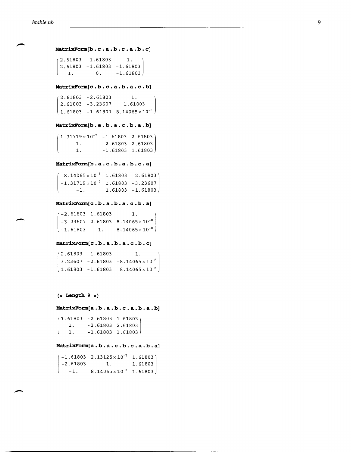-

```
MatrixForm[b . c • a • b • c . a . b • c] 
 (2.61803 - 1.61803 - 1.2.61803 -1.61803 -1.61803<br>1. 0. -1.61803[
     1. 0. -1.61803MatrixFo:rm[c . b. c . a. b. a. c . b] 
(2.61803 - 2.61803) 1.
 2.61803 -3.23607 1.61803 
\begin{bmatrix} 1.61803 & -1.61803 & 8.14065 \times 10^{-8} \end{bmatrix}MatrixFo:rm[b . a . b . a . c • b • a • b] 
(1.31719 \times 10^{-7} - 1.61803 \quad 2.61803)1. -2.61803 2.61803 
 (
         1. -1.61803 1.61803
MatrixFo:rm[b . a . c • b • a • b • c . a] 
 (-8.14065\times10^{-8} 1.61803 -2.61803<sup>1</sup>
  -1.31719\times10^{-7} 1.61803 -3.23607-1. 1.61803 -1.61803MatrixForm[c.b.a.b.a.c.b.a]<br>
\begin{pmatrix} -2.61803 & 1.61803 & 1. \\ 0.00665 & 0.61300 & 0.11055 & 1.018 \end{pmatrix}-3.23607 2.61803 8.14065\times10<sup>-8</sup>
 \begin{array}{|c|c|c|c|c|}\n-1.61803 & 1. & 8.14065\times10^{-8}\n\end{array}MatrixForm[c.b.a.b.a.c.b.c](2.61803 - 1.61803 - 1.3.23607 -2.61803 -8.14065 \times 10^{-8}\begin{array}{|c|c|c|c|c|}\n\hline\n1.61803 & -1.61803 & -8.14065\times10^{-8}\n\end{array}(* Length 9 *MatrixFo:rm[a . b. a . b. c . a. b. a. b] 
 1.61803 - 2.61803 1.61803)
     1. -2.61803 2.61803
```
#### **MatrixForm[a . b. a.** c . b. c . a. **b. a]**

1.  $-1.61803$  1.61803

 $\lfloor$ 

|             | $(-1.61803 \t2.13125 \times 10^{-7} \t1.61803)$ |         |
|-------------|-------------------------------------------------|---------|
| $ -2.61803$ |                                                 | 1.61803 |
| $-1$ .      | $8.14065 \times 10^{-8}$ 1.61803                |         |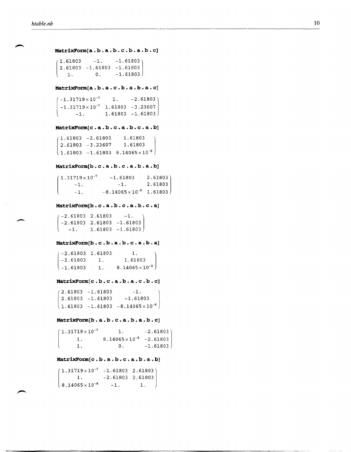$\overline{\phantom{a}}$ 

**MatrixForm[a . b . a . b . c . b. a . b . c]**  [  $1.61803 -1. -1.61803$ 2.61803 -1. 61803 -1. 61803  $1. 0. -1.61803$ **MatrixForm[a. b. a. c . b. a. b. a. c]**  (  $(-1.31719\times10^{-7}$  1.  $-2.61803)$  $-1.31719\times10^{-7}$  1.61803  $-3.23607$  $-1.$  1.61803  $-1.61803$ **MatrixForm[c . a. b. c . a. b. c . a . b]**   $\begin{array}{|c|c|c|c|c|}\n\hline\n1.61803 & -1.61803 & 8.14065\times10^{-8}\n\end{array}$  $(1.61803 - 2.61803 1.61803$ 2.61803 -3.23607 1.61803 **MatrixFo:rm[b. c . a . b . c . a . b . a . b]**   $-1.$  2.61803  $\mathsf{L}$  $1.31719\times10^{-7}$  $-1.$ -1.  $-1.61803$  2.61803  $-8.14065\times10^{-8}$  1.61803 **MatrixForm[b . c . a . b . c . a . b . c . a]**  [  $(-2.61803 \quad 2.61803 \quad -1.$ -2.61803 2.61803 -1.61803  $-1.$  1.61803  $-1.61803$ MatrixForm[b.c.b.a.b.c.a.b.a] -2.61803 1.61803  $\begin{bmatrix} -2.61803 & 1.61803 & 1. \ -2.61803 & 1. & 1.61803 \ -1.61803 & 1. & 8.14065 \times 10^{-8} \end{bmatrix}$ **MatrixForm[c.b.c.a.b.a.c.b.c]**<br>  $\begin{pmatrix} 2.61803 & -1.61803 & -1. \\ 2.61802 & 1.61803 & 1.61803 \end{pmatrix}$ 2.61803 -1.61803 -1.61803  $\left(1.61803 - 1.61803 - 8.14065 \times 10^{-8}\right)$ **MatrixFo:rrn[b . a . b . c . a . b . a . b . c]** 

 $(1.31719 \times 10^{-7} \qquad 1. \qquad -2.61803)$ 1.  $8.14065 \times 10^{-8}$  -2.61803  $1.$  0.  $-1.61803$ 

## MatrixForm[c.b.a.b.c.a.b.a.b]

| $\begin{pmatrix} 1.31719 \times 10^{-7} & -1.61803 & 2.61803 \\ 1. & -2.61803 & 2.61803 \end{pmatrix}$ |        |    |
|--------------------------------------------------------------------------------------------------------|--------|----|
| $8.14065 \times 10^{-8}$                                                                               | $-1$ . | 1. |

,---------------------\_.\_---------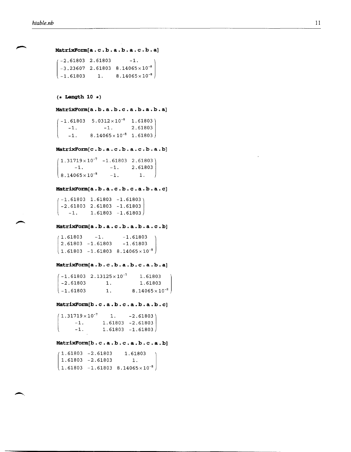**MatrixForm[a. c . b. a. b. a. c . b. a]**   $-2.61803$  2.61803  $-1$ .  $-3.23607$  2.61803 8.14065 $\times 10^{-8}$  $\begin{bmatrix} -1.61803 & 1. & 8.14065 \times 10^{-8} \end{bmatrix}$  $(*$  Length 10  $*)$ **MatrixForm[a. b. a. b. c . a. b. a. b. a]**   $-1.61803 \quad 5.0312 \times 10^{-8} \quad 1.61803$ -1.  $-1.$ 2.61803 [  $-1.$  8.14065  $\times$  10<sup>-8</sup> 1.61803 **MatrixForm[c . b. a . c . b. a. c . b. a. b]**   $(1.31719\times10^{-7}$  -1.61803 2.61803)  $-1.$   $-1.$   $2.61803$  $8.14065 \times 10^{-8}$  -1. 1. **MatrixForm[a . b. a. c . b. c . a. b. a. c]**   $(-1.61803 \t1.61803 \t-1.61803)$ -2.61803 2.61803 -1.61803 [  $-1.$  1.61803  $-1.61803$ **MatrixForm[a . b . a . c . b . a . b . a . c . b]**<br>  $\begin{pmatrix} 1.61803 & -1. & -1.61803 \\ 2.61803 & 1.61803 & 1.61903 \end{pmatrix}$ 2.61803 -1.61803 -1.61803  $\left(1.61803 - 1.61803 \right. 8.14065 \times 10^{-8}$ **MatrixForm[a . b. c . b. a. b. c . a. b. a]**   $(-1.61803 \quad 2.13125 \times 10^{-7})$ 1.61803  $-2.61803$  1. 1. 61803  $\begin{array}{|c|c|c|}\n\hline\n-1.61803 & 1. \\\hline\n\end{array}$ 8.14065 $\times$ 10<sup>-8</sup> **MatrixForm[b . c . a . b . c . a . b . a . b . c]**   $(1.31719\times10^{-7} \qquad 1. \qquad -2.61803)$  $-1.$  1.61803  $-2.61803$  $\left($  $-1.$  1.61803  $-1.61803$ **MatrixForm[b. c . a . b . c . a . b . c . a . b]** 

 $\begin{bmatrix} 1.61803 & -1.61803 & 8.14065 \times 10^{-8} \end{bmatrix}$  $(1.61803 - 2.61803 1.61803)$ 1.61803 -2.61803 1.

11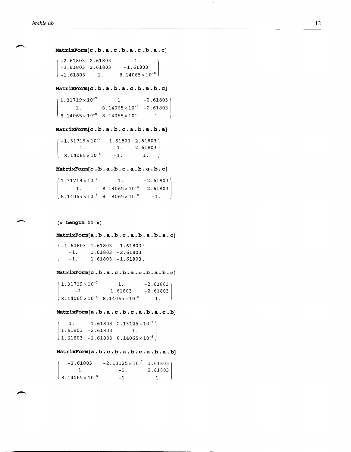```
MatrixFonn[ c . b . a . c . b . a . c . b . a . c] 
 (-2.61803 \quad 2.61803 \quad -1.
```

```
\begin{bmatrix} -1.61803 & 1. & -8.14065 \times 10^{-8} \end{bmatrix}-2.61803 2.61803 -1.61803
```
**MatrixFonn[c . b. a. b. a. c . b. a. b. c]** 

```
1.31719 \times 10^{-7} 1. -2.618031. 8.14065 \times 10^{-8} -2.61803
8.14065\times10^{-8} 8.14065\times10^{-8} -1.
```
## **MatrixFonn[c . b. a . b. c . a. b. a . b. a]**

 $\begin{bmatrix} -1. & -1. & 2.61803 \ 0.14065 \times 10^{-8} & 1. & 1 \end{bmatrix}$  $(-1.31719\times10^{-7}$   $-1.61803$  2.61803)  $-8.14065 \times 10^{-8}$   $-1.$  1.

## **MatrixFonn[c . b. a. b. c . a. b. a. b. c]**

```
(1.31719\times10^{-7} 1. -2.61803)1. 8.14065 \times 10^{-8} -2.61803
\begin{array}{|c|c|c|c|c|}\n8.14065 \times 10^{-8} & 8.14065 \times 10^{-8} & -1. \end{array}
```
#### **(\* Length 11 \*)**

#### **MatrixFonn[a. b. a. b. c . a. b. a. b. a. c]**

[  $(-1.61803 \t1.61803 \t-1.61803)$  $-1.$  1.61803  $-2.61803$  $-1. 1.61803 -1.61803$ 

#### **MatrixFonn[c . b. a. c . b. a. c . b. a. b. c]**

 $\begin{array}{ccc} \n8.14065 \times 10^{-8} & 8.14065 \times 10^{-8} & -1. \n\end{array}$  $(1.31719\times10^{-7})$  $-1.$  1.61803  $-2.61803$ 1.  $-2.61803$ 

**MatrixFonn[a. b. a. c . b. c . a. b. a. c . b]** 

 $\begin{array}{|c|c|c|c|c|}\n\hline\n1.61803 & -1.61803 & 8.14065\times10^{-8}\n\hline\n\end{array}$ 1.  $-1.61803$   $2.13125 \times 10^{-7}$ 1. 61803 -2.61803 1.

## **MatrixFonn[a. b. c . b. a. b. c . a. b. a. b]**

 $\sqrt{8.14065 \times 10^{-8}}$ -1. 61803  $-1.$  $-2.13125 \times 10^{-7}$  1.61803)  $-1.$  2.61803  $-1.$  1.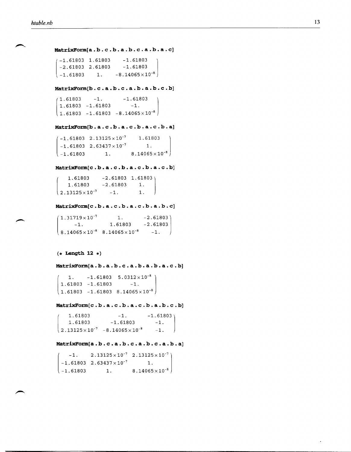**MatrixForm[a. b. c . b. a. b. c . a. b. a . c]** 

 $\begin{array}{|c|c|c|c|c|}\n\hline -1.61803 & 1. & -8.14065 \times 10^{-8}\n\end{array}$  $-1.61803$  1.61803  $-1.61803$  $-2.61803$  2.61803  $-1.61803$ 

**MatrixForm[b.c.a.b.c.a.b.a.b.c.b]**<br>  $\begin{pmatrix} 1.61803 & -1.61803 \\ 1.61803 & -1.61803 & -1 \end{pmatrix}$  $\begin{bmatrix} 1.61803 & -1.61803 & -8.14065 \times 10^{-8} \end{bmatrix}$  $1.61803 - 1.61803 - 1.$ 

## **MatrixForm[b . a . c . b . a . c . b . a . c . b . a]**

 $-1.61803 \quad 2.13125 \times 10^{-7} \quad 1.61803$  $-1.61803 \quad 2.63437 \times 10^{-7} \quad 1.$  $-1.61803$  1.  $8.14065 \times 10^{-8}$ 

## **MatrixForm[c . b. a. c . b. a. c . b. a. c . b]**

 $\begin{array}{ccc} \n2.13125 \times 10^{-7} & -1. & 1. \n\end{array}$  $1.61803 -2.61803 1.61803$ 1.61803 -2.61803 1.

#### **MatrixForm[c . b. a. c . b. a. c . b. a. b. c]**

 $\begin{array}{ccc} \n8.14065 \times 10^{-8} & 8.14065 \times 10^{-8} & -1. \n\end{array}$  $(1.31719\times10^{-7} \qquad 1.$  $-1.$  1.61803  $-2.61803$  $-2.61803$ 

## **(\* Length 12 \*)**

## **MatrixForm[a. b. a. b. c . a. b. a. b. a. c . b]**

 $\begin{pmatrix} 1. & -1.61803 & 5.0312 \times 10^{-8} \ 1.61803 & -1.61803 & -1. \ 1.61803 & -1.61803 & 8.14065 \times 10^{-8} \end{pmatrix}$  $1.61803 - 1.61803 -1.$ 

**MatrixForm[c . b. a . c . b. a. c . b. a. b. c . b]** 

 $\left( 2.13125 \times 10^{-7} \right)$  -8.14065  $\times 10^{-8}$  -1.  $1.61803$   $-1.61803$   $-1.61803$   $-1.61803$  $-1.61803 -1.$ 

## **MatrixForm[a . b. c . a. b. c . a. b. c . a. b. a]**

|            |                                     | $-1.$ 2.13125 $\times$ 10 <sup>-7</sup> 2.13125 $\times$ 10 <sup>-7</sup> ) |  |
|------------|-------------------------------------|-----------------------------------------------------------------------------|--|
|            | $-1.61803 \t2.63437 \times 10^{-7}$ | $\begin{array}{ccc} & 1, & \end{array}$                                     |  |
| l -1.61803 | $\mathbf{1}$ .                      | $8.14065\times10^{-8}$                                                      |  |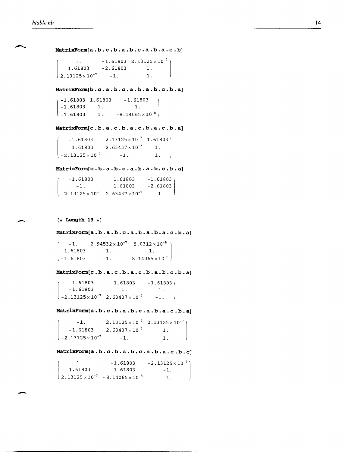MatrixForm[a.b.c.b.a.b.c.a.b.a.c.b]

```
\frac{2.13125 \times 10^{-7}}{2.13125 \times 10^{-7}}1. -1.61803 \quad 2.13125 \times 10^{-7}1. 61B03 
                  -2.61803 1.
                   -1. 1.
```
**MatrixFo:rm[b . c . a . b . c . a . b . a . b . c . b . a]** 

| 4-1.61803 1.61803 |           | $-1.61803$                                      |
|-------------------|-----------|-------------------------------------------------|
| $-1.61803$ 1.     |           | $\begin{bmatrix} -1.61803 \\ -1. \end{bmatrix}$ |
| $-1.61803$        | $\sim$ 1. | $-8.14065 \times 10^{-8}$                       |

MatrixForm[c.b.a.c.b.a.c.b.a.c.b.a]

 $-1.61803$  2.13125  $\times$  10<sup>-7</sup> 1.61803)  $-1.61803$  2.63437 $\times$ 10<sup>-7</sup> 1.  $-2.13125 \times 10^{-7}$   $-1.$  1.

#### MatrixForm[c.b.a.b.c.a.b.a.b.c.b.a]

 $-1.61803$   $1.61803$   $-1.61803$ <br> $-1.$   $1.61803$   $-2.61803$ 1.61803  $-2.13125\times10^{-7}$  2.63437 $\times10^{-7}$  -1.

**(\* Length 13 \*)** 

**MatrixFo:rm[a. b. a. b. c . a. b. a. b. a. c . b. a]** 

 $-1.61803$  1.  $\binom{-1.61803}{ }$  $-1.$  2.94532×10<sup>-7</sup> 5.0312×10<sup>-8</sup> -1. 1.  $8.14065 \times 10^{-8}$ 

MatrixForm[c.b.a.c.b.a.c.b.a.b.c.b.a]

 $\begin{pmatrix} -1.61803 & 1.61803 \ -1.61803 & 1. \ -2.13125 \times 10^{-7} & 2.63437 \times 10^{-7} \end{pmatrix}$  $-1.61803$  1.  $-1.61803$   $1.61803$   $-1.61803$  $-1.$  $-1.$ 

MatrixForm[a.b.c.b.a.b.c.a.b.a.c.b.a]

 $-1.$  2.13125 $\times$ 10<sup>-7</sup> 2.13125 $\times$ 10<sup>-7</sup>)  $-1.61803$   $2.63437 \times 10^{-7}$  1.  $\begin{array}{ccc} \n -2.13125 \times 10^{-7} & -1. & \n \end{array}$  1.

## MatrixForm[a.b.c.b.a.b.c.a.b.a.c.b.c]

 $\left( 2.13125 \times 10^{-7} \right)$  -8.14065  $\times$  10<sup>-8</sup> 1.  $-1.61803 -2.13125 \times 10^{-7}$ 1.61B03 -1.61B03 -1. -1.